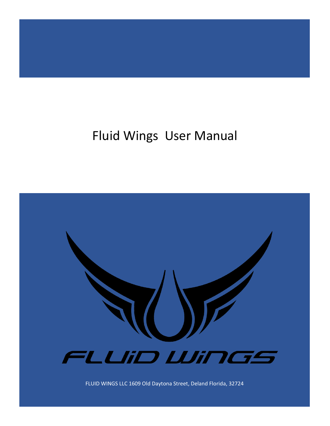# Fluid Wings User Manual



FLUID WINGS LLC 1609 Old Daytona Street, Deland Florida, 32724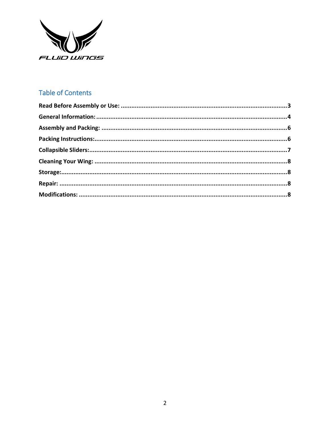

## **Table of Contents**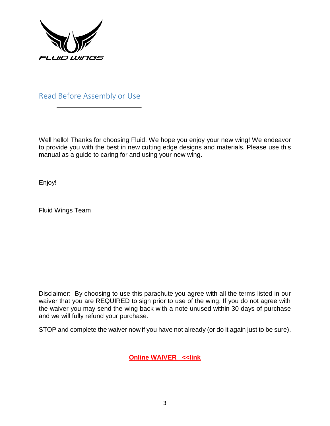

<span id="page-2-0"></span>Read Before Assembly or Use

Well hello! Thanks for choosing Fluid. We hope you enjoy your new wing! We endeavor to provide you with the best in new cutting edge designs and materials. Please use this manual as a guide to caring for and using your new wing.

Enjoy!

Fluid Wings Team

Disclaimer: By choosing to use this parachute you agree with all the terms listed in our waiver that you are REQUIRED to sign prior to use of the wing. If you do not agree with the waiver you may send the wing back with a note unused within 30 days of purchase and we will fully refund your purchase.

STOP and complete the waiver now if you have not already (or do it again just to be sure).

**[Online WAIVER](https://www.smartwaiver.com/w/57d81de79c00f/web/) <<link**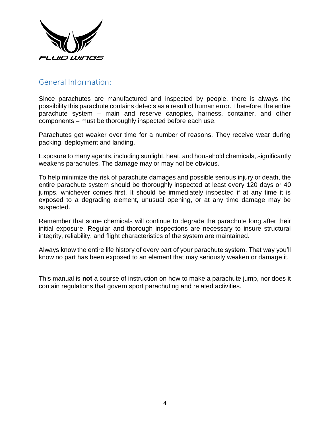

#### <span id="page-3-0"></span>General Information:

Since parachutes are manufactured and inspected by people, there is always the possibility this parachute contains defects as a result of human error. Therefore, the entire parachute system – main and reserve canopies, harness, container, and other components – must be thoroughly inspected before each use.

Parachutes get weaker over time for a number of reasons. They receive wear during packing, deployment and landing.

Exposure to many agents, including sunlight, heat, and household chemicals, significantly weakens parachutes. The damage may or may not be obvious.

To help minimize the risk of parachute damages and possible serious injury or death, the entire parachute system should be thoroughly inspected at least every 120 days or 40 jumps, whichever comes first. It should be immediately inspected if at any time it is exposed to a degrading element, unusual opening, or at any time damage may be suspected.

Remember that some chemicals will continue to degrade the parachute long after their initial exposure. Regular and thorough inspections are necessary to insure structural integrity, reliability, and flight characteristics of the system are maintained.

Always know the entire life history of every part of your parachute system. That way you'll know no part has been exposed to an element that may seriously weaken or damage it.

This manual is **not** a course of instruction on how to make a parachute jump, nor does it contain regulations that govern sport parachuting and related activities.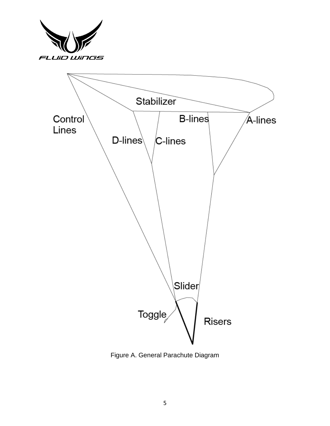



Figure A. General Parachute Diagram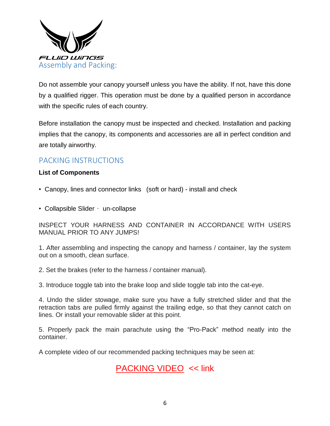

<span id="page-5-0"></span>Do not assemble your canopy yourself unless you have the ability. If not, have this done by a qualified rigger. This operation must be done by a qualified person in accordance with the specific rules of each country.

Before installation the canopy must be inspected and checked. Installation and packing implies that the canopy, its components and accessories are all in perfect condition and are totally airworthy.

# <span id="page-5-1"></span>PACKING INSTRUCTIONS

#### **List of Components**

- Canopy, lines and connector links (soft or hard) install and check
- Collapsible Slider un-collapse

INSPECT YOUR HARNESS AND CONTAINER IN ACCORDANCE WITH USERS MANUAL PRIOR TO ANY JUMPS!

1. After assembling and inspecting the canopy and harness / container, lay the system out on a smooth, clean surface.

2. Set the brakes (refer to the harness / container manual).

3. Introduce toggle tab into the brake loop and slide toggle tab into the cat-eye.

4. Undo the slider stowage, make sure you have a fully stretched slider and that the retraction tabs are pulled firmly against the trailing edge, so that they cannot catch on lines. Or install your removable slider at this point.

5. Properly pack the main parachute using the "Pro-Pack" method neatly into the container.

A complete video of our recommended packing techniques may be seen at:

# [PACKING VIDEO](https://vimeo.com/210294491) << link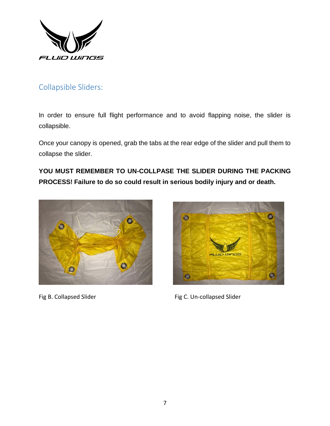

# <span id="page-6-0"></span>Collapsible Sliders:

In order to ensure full flight performance and to avoid flapping noise, the slider is collapsible.

Once your canopy is opened, grab the tabs at the rear edge of the slider and pull them to collapse the slider.

**YOU MUST REMEMBER TO UN-COLLPASE THE SLIDER DURING THE PACKING PROCESS! Failure to do so could result in serious bodily injury and or death.** 





Fig B. Collapsed Slider Fig C. Un-collapsed Slider